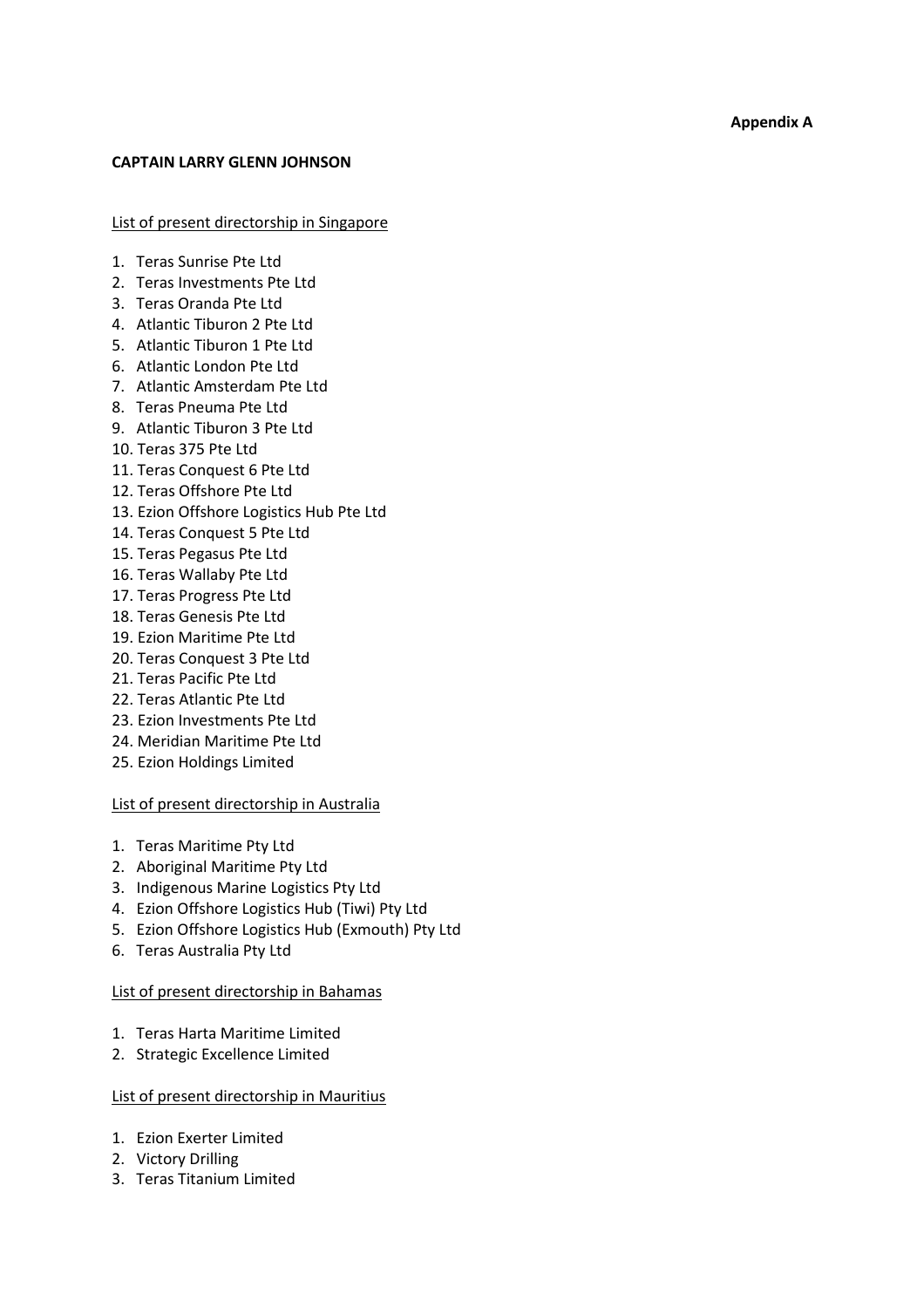### CAPTAIN LARRY GLENN JOHNSON

List of present directorship in Singapore

- 1. Teras Sunrise Pte Ltd
- 2. Teras Investments Pte Ltd
- 3. Teras Oranda Pte Ltd
- 4. Atlantic Tiburon 2 Pte Ltd
- 5. Atlantic Tiburon 1 Pte Ltd
- 6. Atlantic London Pte Ltd
- 7. Atlantic Amsterdam Pte Ltd
- 8. Teras Pneuma Pte Ltd
- 9. Atlantic Tiburon 3 Pte Ltd
- 10. Teras 375 Pte Ltd
- 11. Teras Conquest 6 Pte Ltd
- 12. Teras Offshore Pte Ltd
- 13. Ezion Offshore Logistics Hub Pte Ltd
- 14. Teras Conquest 5 Pte Ltd
- 15. Teras Pegasus Pte Ltd
- 16. Teras Wallaby Pte Ltd
- 17. Teras Progress Pte Ltd
- 18. Teras Genesis Pte Ltd
- 19. Ezion Maritime Pte Ltd
- 20. Teras Conquest 3 Pte Ltd
- 21. Teras Pacific Pte Ltd
- 22. Teras Atlantic Pte Ltd
- 23. Ezion Investments Pte Ltd
- 24. Meridian Maritime Pte Ltd
- 25. Ezion Holdings Limited

### List of present directorship in Australia

- 1. Teras Maritime Pty Ltd
- 2. Aboriginal Maritime Pty Ltd
- 3. Indigenous Marine Logistics Pty Ltd
- 4. Ezion Offshore Logistics Hub (Tiwi) Pty Ltd
- 5. Ezion Offshore Logistics Hub (Exmouth) Pty Ltd
- 6. Teras Australia Pty Ltd

#### List of present directorship in Bahamas

- 1. Teras Harta Maritime Limited
- 2. Strategic Excellence Limited

### List of present directorship in Mauritius

- 1. Ezion Exerter Limited
- 2. Victory Drilling
- 3. Teras Titanium Limited